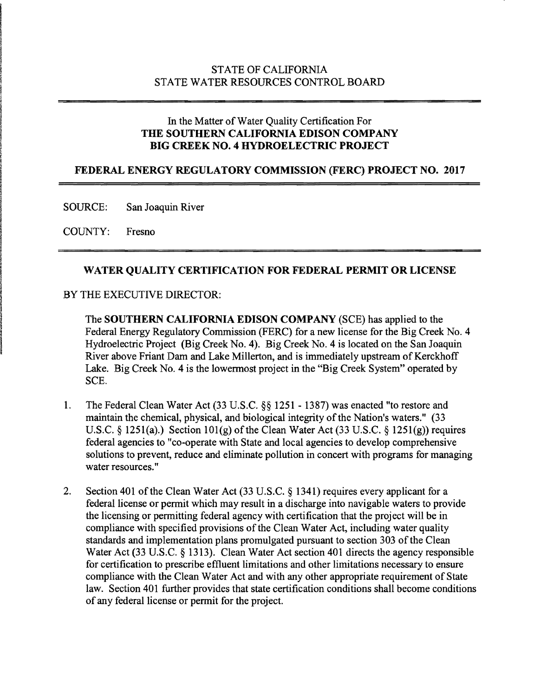## STATE OF CALIFORNIA STATE WATER RESOURCES CONTROL BOARD

## In the Matter of Water Quality Certification For THE SOUTHERN CALIFORNIA EDISON COMPANY BIG CREEK NO.4 HYDROELECTRIC PROJECT

#### FEDERAL ENERGY REGULATORY COMMISSION (FERC) PROJECT NO. 2017

SOURCE: San Joaquin River

COUNTY: Fresno

#### WATER QUALITY CERTIFICATION FOR FEDERAL PERMIT OR LICENSE

#### BY THE EXECUTIVE DIRECTOR:

The SOUTHERN CALIFORNIA EDISON COMPANY (SCE) has applied to the Federal Energy Regulatory Commission (FERC) for a new license for the Big Creek No.4 Hydroelectric Project (Big Creek No.4). Big Creek No.4 is located on the San Joaquin River above Friant Dam and Lake Millerton, and is immediately upstream of Kerckhoff Lake. Big Creek No. 4 is the lowermost project in the "Big Creek System" operated by SCE.

- 1. The Federal Clean Water Act (33 U.S.C. §§ 1251 1387) was enacted "to restore and maintain the chemical, physical, and biological integrity of the Nation's waters." (33 U.S.C. § 1251(a).) Section 101(g) of the Clean Water Act (33 U.S.C. § 1251(g)) requires federal agencies to "co-operate with State and local agencies to develop comprehensive solutions to prevent, reduce and eliminate pollution in concert with programs for managing water resources. "
- 2. Section 401 of the Clean Water Act (33 U.S.C. § 1341) requires every applicant for a federal license or permit which may result in a discharge into navigable waters to provide the licensing or permitting federal agency with certification that the project will be in compliance with specified provisions of the Clean Water Act, including water quality standards and implementation plans promulgated pursuant to section 303 of the Clean Water Act (33 U.S.C. § 1313). Clean Water Act section 401 directs the agency responsible for certification to prescribe effluent limitations and other limitations necessary to ensure compliance with the Clean Water Act and with any other appropriate requirement of State law. Section 401 further provides that state certification conditions shall become conditions of any federal license or permit for the project.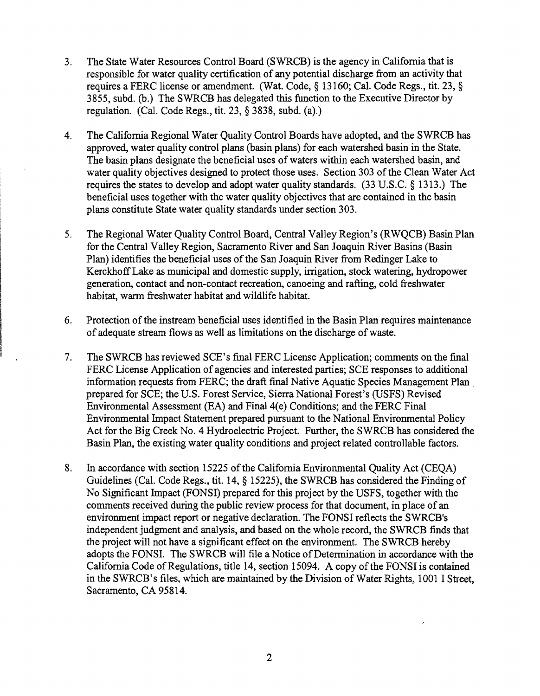- 3. The State Water Resources Control Board (SWRCB) is the agency in California that is responsible for water quality certification of any potential discharge from an activity that requires a FERC license or amendment. (Wat. Code, § 13160; Cal. Code Regs., tit. 23, § 3855, subd. (b.) The SWRCB has delegated this function to the Executive Director by regulation. (Cal. Code Regs., tit. 23, § 3838, subd. (a).)
- 4. The California Regional Water Quality Control Boards have adopted, and the SWRCB has approved, water quality control plans (basin plans) for each watershed basin in the State. The basin plans designate the beneficial uses of waters within each watershed basin, and water quality objectives designed to protect those uses. Section 303 of the Clean Water Act requires the states to develop and adopt water quality standards. (33 U.S.C. § 1313.) The beneficial uses together with the water quality objectives that are contained in the basin plans constitute State water quality standards under section 303.
- 5. The Regional Water Quality Control Board, Central Valley Region's (RWQCB) Basin Plan for the Central Valley Region, Sacramento River and San Joaquin River Basins (Basin Plan) identifies the beneficial uses of the San Joaquin River from Redinger Lake to KerckhoffLake as municipal and domestic supply, irrigation, stock watering, hydropower generation, contact and non-contact recreation, canoeing and rafting, cold freshwater habitat, warm freshwater habitat and wildlife habitat.
- 6. Protection of the instream beneficial uses identified in the Basin Plan requires maintenance of adequate stream flows as well as limitations on the discharge ofwaste.
- 7. The SWRCB has reviewed SCE's final FERC License Application; comments on the final FERC License Application of agencies and interested parties; SCE responses to additional information requests from FERC; the draft final Native Aquatic Species Management Plan . prepared for SCE; the U.S. Forest Service, Sierra National Forest's (USFS) Revised Environmental Assessment (EA) and Final  $4(e)$  Conditions; and the FERC Final Environmental Impact Statement prepared pursuant to the National Environmental Policy Act for the Big Creek No.4 Hydroelectric Project. Further, the SWRCB has considered the Basin Plan, the existing water quality conditions and project related controllable factors.
- 8. In accordance with section 15225 of the California Environmental Quality Act (CEQA) Guidelines (Cal. Code Regs., tit. 14, § 15225), the SWRCB has considered the Finding of No Significant Impact (FONSI) prepared for this project by the USFS, together with the comments received during the public review process for that document, in place of an environment impact report or negative declaration. The FONSI reflects the SWRCB's independent judgment and analysis, and based on the whole record, the SWRCB finds that the project will not have a significant effect on the environment. The SWRCB hereby adopts the FONSI. The SWRCB will file a Notice of Determination in accordance with the California Code of Regulations, title 14, section 15094. A copy of the FONSI is contained in the SWRCB's files, which are maintained by the Division of Water Rights, 1001 I Street, Sacramento, CA 95814.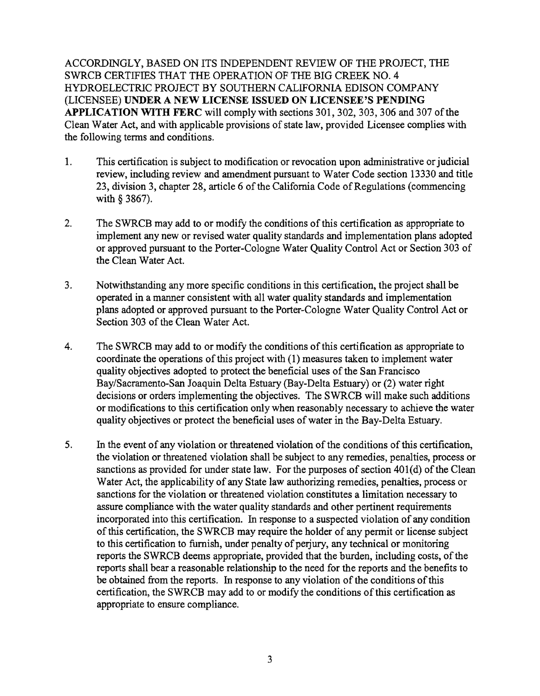ACCORDINGLY, BASED ON ITS INDEPENDENT REVIEW OF THE PROJECT, THE SWRCB CERTIFIES THAT THE OPERATION OF THE BIG CREEK NO.4 HYDROELECTRIC PROJECT BY SOUTHERN CALIFORNIA EDISON COMPANY (LICENSEE) **UNDER A NEW LICENSE ISSUED ON LICENSEE'S PENDING APPLICATION WITH FERC** will comply with sections 301, 302, 303, 306 and 307 ofthe Clean Water Act, and with applicable provisions of state law, provided Licensee complies with the following terms and conditions.

- 1. This certification is subject to modification or revocation upon administrative or judicial review, including review and amendment pursuant to Water Code section 13330 and title 23, division 3, chapter 28, article 6 of the California Code of Regulations (commencing with § 3867).
- 2. The SWRCB may add to or modify the conditions of this certification as appropriate to implement any new or revised water quality standards and implementation plans adopted or approved pursuant to the Porter-Cologne Water Quality Control Act or Section 303 of the Clean Water Act.
- 3. Notwithstanding any more specific conditions in this certification, the project shall be operated in a manner consistent with all water quality standards and implementation plans adopted or approved pursuant to the Porter-Cologne Water Quality Control Act or Section 303 of the Clean Water Act.
- 4. The SWRCB may add to or modify the conditions of this certification as appropriate to coordinate the operations of this project with  $(1)$  measures taken to implement water quality objectives adopted to protect the beneficial uses of the San Francisco Bay/Sacramento-San Joaquin Delta Estuary (Bay-Delta Estuary) or (2) water right decisions or orders implementing the objectives. The SWRCB will make such additions or modifications to this certification only when reasonably necessary to achieve the water quality objectives or protect the beneficial uses of water in the Bay-Delta Estuary.
- 5. In the event of any violation or threatened violation of the conditions of this certification, the violation or threatened violation shall be subject to any remedies, penalties, process or sanctions as provided for under state law. For the purposes of section  $401(d)$  of the Clean Water Act, the applicability of any State law authorizing remedies, penalties, process or sanctions for the violation or threatened violation constitutes a limitation necessary to assure compliance with the water quality standards and other pertinent requirements incorporated into this certification. In response to a suspected violation of any condition of this certification, the SWRCB may require the holder of any permit or license subject to this certification to furnish, under penalty of perjury, any technical or monitoring reports the SWRCB deems appropriate, provided that the burden, including costs, of the reports shall bear a reasonable relationship to the need for the reports and the benefits to be obtained from the reports. In response to any violation of the conditions of this certification, the SWRCB may add to or modify the conditions ofthis certification as appropriate to ensure compliance.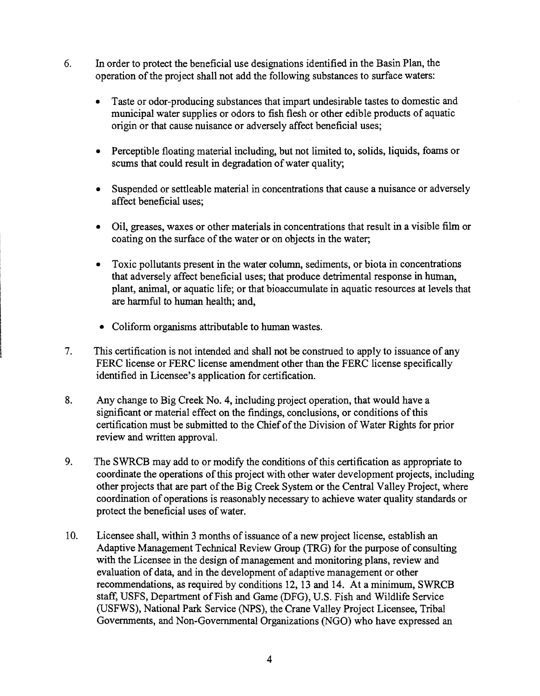- 6. In order to protect the beneficial use designations identified in the Basin Plan, the operation of the project shall not add the following substances to surface waters:
	- Taste or odor-producing substances that impart undesirable tastes to domestic and municipal water supplies or odors to fish flesh or other edible products of aquatic origin or that cause nuisance or adversely affect beneficial uses;
	- Perceptible floating material including, but not limited to, solids, liquids, foams or scums that could result in degradation of water quality;
	- Suspended or settleable material in concentrations that cause a nuisance or adversely affect beneficial uses;
	- Oil, greases, waxes or other materials in concentrations that result in a visible film or coating on the surface of the water or on objects in the water;
	- Toxic pollutants present in the water column, sediments, or biota in concentrations that adversely affect beneficial uses; that produce detrimental response in human, plant, animal, or aquatic life; or that bioaccumulate in aquatic resources at levels that are harmful to human health; and,
	- Coliform organisms attributable to human wastes.
- 7. This certification is not intended and shall not be construed to apply to issuance of any FERC license or FERC license amendment other than the FERC license specifically identified in Licensee's application for certification.
- 8. Any change to Big Creek No. 4, including project operation, that would have a significant or material effect on the findings, conclusions, or conditions of this certification must be submitted to the Chief of the Division of Water Rights for prior review and written approval.
- 9. The SWRCB may add to or modify the conditions of this certification as appropriate to coordinate the operations of this project with other water development projects, including other projects that are part of the Big Creek System or the Central Valley Project, where coordination of operations is reasonably necessary to achieve water quality standards or protect the beneficial uses of water.
- 10. Licensee shall, within 3 months of issuance of a new project license, establish an Adaptive Management Technical Review Group (TRG) for the purpose of consulting with the Licensee in the design of management and monitoring plans, review and evaluation of data, and in the development of adaptive management or other recommendations, as required by conditions 12, 13 and 14. At a minimum, SWRCB staff, USFS, Department of Fish and Game (DFG), U.S. Fish and Wildlife Service (USFWS), National Park Service (NPS), the Crane Valley Project Licensee, Tribal Governments, and Non-Governmental Organizations (NGO) who have expressed an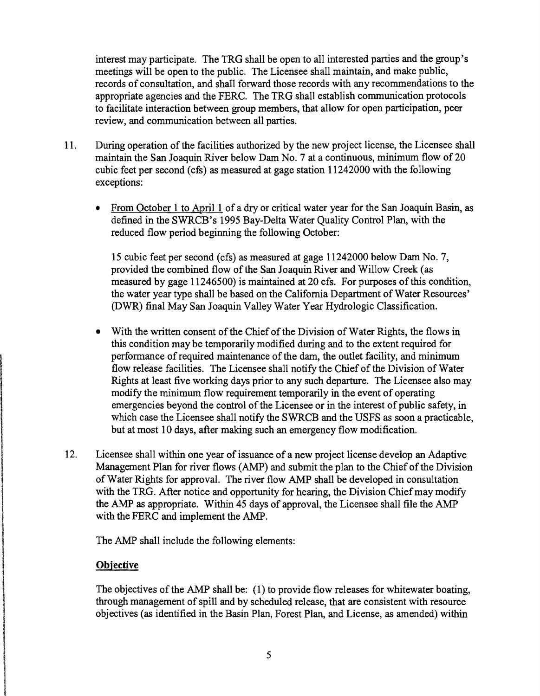interest may participate. The TRG shall be open to all interested parties and the group's meetings will be open to the public. The Licensee shall maintain, and make public, records of consultation, and shall forward those records with any recommendations to the appropriate agencies and the FERC. The TRG shall establish communication protocols to facilitate interaction between group members, that allow for open participation, peer review, and communication between all parties.

- 11. During operation of the facilities authorized by the new project license, the Licensee shall maintain the San Joaquin River below Dam No.7 at a continuous, minimum flow of 20 cubic feet per second (cfs) as measured at gage station 11242000 with the following exceptions:
	- From October 1 to April 1 of a dry or critical water year for the San Joaquin Basin, as defined in the SWRCB's 1995 Bay-Delta Water Quality Control Plan, with the reduced flow period beginning the following October:

15 cubic feet per second (cfs) as measured at gage 11242000 below Dam No.7, provided the combined flow of the San Joaquin River and Willow Creek (as measured by gage 11246500) is maintained at 20 cfs. For purposes ofthis condition, the water year type shall be based on the California Department of Water Resources' (DWR) final May San Joaquin Valley Water Year Hydrologic Classification.

- With the written consent of the Chief of the Division of Water Rights, the flows in this condition may be temporarily modified during and to the extent required for performance of required maintenance of the dam, the outlet facility, and minimum flow release facilities. The Licensee shall notify the Chief of the Division of Water Rights at least five working days prior to any such departure. The Licensee also may modify the minimum flow requirement temporarily in the event of operating emergencies beyond the control of the Licensee or in the interest of public safety, in which case the Licensee shall notify the SWRCB and the USFS as soon a practicable, but at most 10 days, after making such an emergency flow modification.
- 12. Licensee shall within one year of issuance of a new project license develop an Adaptive Management Plan for river flows (AMP) and submit the plan to the Chief of the Division ofWater Rights for approval. The river flow AMP shall be developed in consultation with the TRG. After notice and opportunity for hearing, the Division Chief may modify the AMP as appropriate. Within 45 days of approval, the Licensee shall file the AMP with the FERC and implement the AMP.

The AMP shall include the following elements:

## **Objective**

The objectives of the AMP shall be: (1) to provide flow releases for whitewater boating, through management of spill and by scheduled release, that are consistent with resource objectives (as identified in the Basin Plan, Forest Plan, and License, as amended) within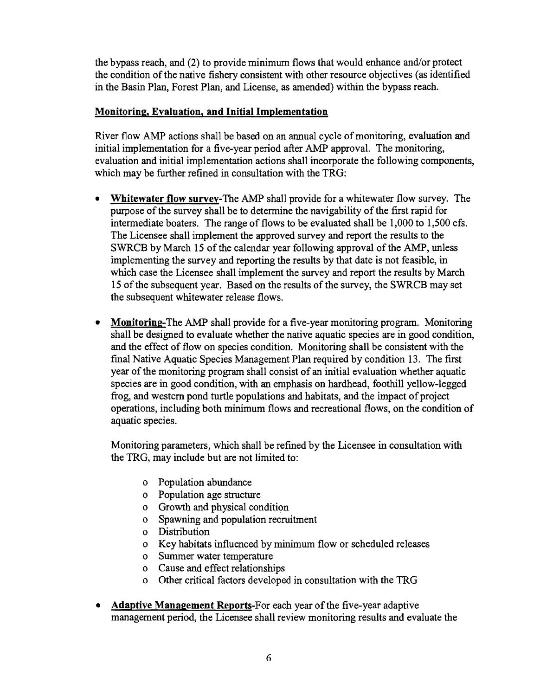the bypass reach, and (2) to provide minimum flows that would enhance and/or protect the condition of the native fishery consistent with other resource objectives (as identified in the Basin Plan, Forest Plan, and License, as amended) within the bypass reach.

# Monitoring, Evaluation, and Initial Implementation

River flow AMP actions shall be based on an annual cycle of monitoring, evaluation and initial implementation for a five-year period after AMP approval. The monitoring, evaluation and initial implementation actions shall incorporate the following components, which may be further refined in consultation with the TRG:

- Whitewater flow survey-The AMP shall provide for a whitewater flow survey. The purpose of the survey shall be to determine the navigability of the first rapid for intermediate boaters. The range of flows to be evaluated shall be 1,000 to 1,500 cfs. The Licensee shall implement the approved survey and report the results to the SWRCB by March 15 of the calendar year following approval of the AMP, unless implementing the survey and reporting the results by that date is not feasible, in which case the Licensee shall implement the survey and report the results by March 15 of the subsequent year. Based on the results of the survey, the SWRCB may set the subsequent whitewater release flows.
- Monitoring-The AMP shall provide for a five-year monitoring program. Monitoring shall be designed to evaluate whether the native aquatic species are in good condition, and the effect of flow on species condition. Monitoring shall be consistent with the final Native Aquatic Species Management Plan required by condition 13. The first year of the monitoring program shall consist of an initial evaluation whether aquatic species are in good condition, with an emphasis on hardhead, foothill yellow-legged frog, and western pond turtle populations and habitats, and the impact of project operations, including both minimum flows and recreational flows, on the condition of aquatic species.

Monitoring parameters, which shall be refined by the Licensee in consultation with the TRG, may include but are not limited to:

- o Population abundance
- o Population age structure
- o Growth and physical condition
- o Spawning and population recruitment
- o Distribution
- o Key habitats influenced by minimum flow or scheduled releases
- o Summer water temperature
- o Cause and effect relationships
- o Other critical factors developed in consultation with the TRG
- **Adaptive Management Reports-For each year of the five-year adaptive** management period, the Licensee shall review monitoring results and evaluate the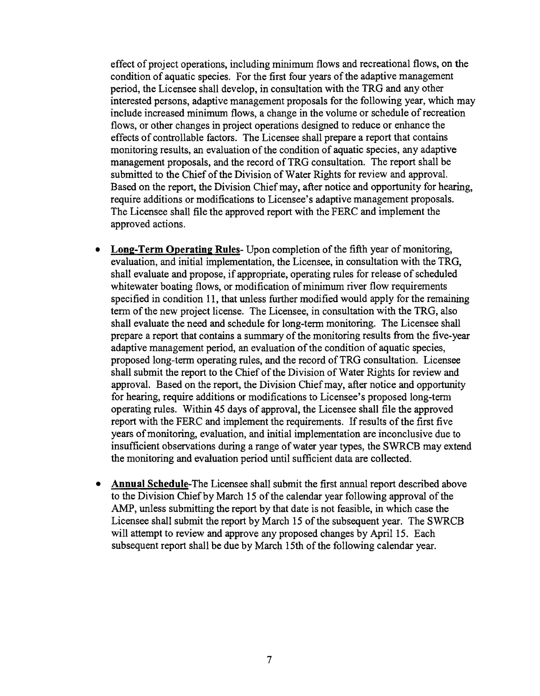effect of project operations, including minimum flows and recreational flows, on the condition of aquatic species. For the first four years of the adaptive management period, the Licensee shall develop, in consultation with the TRG and any other interested persons, adaptive management proposals for the following year, which may include increased minimum flows, a change in the volume or schedule of recreation flows, or other changes in project operations designed to reduce or enhance the effects of controllable factors. The Licensee shall prepare a report that contains monitoring results, an evaluation of the condition of aquatic species, any adaptive management proposals, and the record of TRG consultation. The report shall be submitted to the Chief of the Division of Water Rights for review and approval. Based on the report, the Division Chief may, after notice and opportunity for hearing, require additions or modifications to Licensee's adaptive management proposals. The Licensee shall file the approved report with the FERC and implement the approved actions.

- Long-Term Operating Rules-Upon completion of the fifth year of monitoring, evaluation, and initial implementation, the Licensee, in consultation with the TRG, shall evaluate and propose, if appropriate, operating rules for release of scheduled whitewater boating flows, or modification of minimum river flow requirements specified in condition 11, that unless further modified would apply for the remaining term of the new project license. The Licensee, in consultation with the TRG, also shall evaluate the need and schedule for long-term monitoring. The Licensee shall prepare a report that contains a summary of the monitoring results from the five-year adaptive management period, an evaluation of the condition of aquatic species, proposed long-term operating rules, and the record ofTRG consultation. Licensee shall submit the report to the Chief of the Division of Water Rights for review and approval. Based on the report, the Division Chief may, after notice and opportunity for hearing, require additions or modifications to Licensee's proposed long-term operating rules. Within 45 days of approval, the Licensee shall file the approved report with the FERC and implement the requirements. If results of the first five years of monitoring, evaluation, and initial implementation are inconclusive due to insufficient observations during a range of water year types, the SWRCB may extend the monitoring and evaluation period until sufficient data are collected.
- **Annual Schedule-The Licensee shall submit the first annual report described above** to the Division Chief by March 15 of the calendar year following approval of the AMP, unless submitting the report by that date is not feasible, in which case the Licensee shall submit the report by March 15 of the subsequent year. The SWRCB will attempt to review and approve any proposed changes by April 15. Each subsequent report shall be due by March 15th of the following calendar year.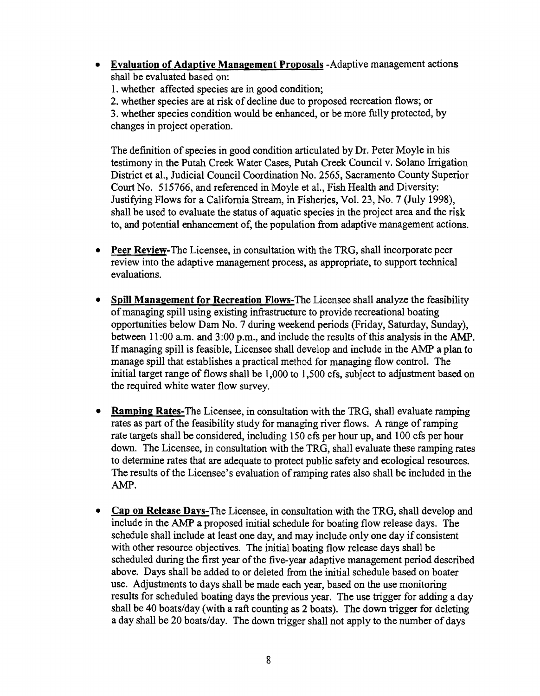- **Evaluation of Adaptive Management Proposals** -Adaptive management actions shall be evaluated based on:
	- 1. whether affected species are in good condition;

2. whether species are at risk of decline due to proposed recreation flows; or

3. whether species condition would be enhanced, or be more fully protected, by changes in project operation.

The definition of species in good condition articulated by Dr. Peter Moyle in his testimony in the Putah Creek Water Cases, Putah Creek Council v. Solano Irrigation District et aI., Judicial Council Coordination No. 2565, Sacramento County Superior Court No. 515766, and referenced in Moyle et aI., Fish Health and Diversity: Justifying Flows for a California Stream, in Fisheries, Vol. 23, No.7 (July 1998), shall be used to evaluate the status of aquatic species in the project area and the risk to, and potential enhancement of, the population from adaptive management actions.

- **Peer Review-The** Licensee, in consultation with the TRG, shall incorporate peer review into the adaptive management process, as appropriate, to support technical evaluations.
- **Spill Management for Recreation Flows-The Licensee shall analyze the feasibility** ofmanaging spill using existing infrastructure to provide recreational boating opportunities below Dam No. 7 during weekend periods (Friday, Saturday, Sunday), between 11:00 a.m. and 3:00 p.m., and include the results of this analysis in the AMP. Ifmanaging spill is feasible, Licensee shall develop and include in the AMP a plan to manage spill that establishes a practical method for managing flow control. The initial target range of flows shall be 1,000 to 1,500 cfs, subject to adjustment based on the required white water flow survey.
- **Ramping Rates-The Licensee, in consultation with the TRG, shall evaluate ramping** rates as part of the feasibility study for managing river flows. A range of ramping rate targets shall be considered, including 150 cfs per hour up, and 100 cfs per hour down. The Licensee, in consultation with the TRG, shall evaluate these ramping rates to detennine rates that are adequate to protect public safety and ecological resources. The results of the Licensee's evaluation of ramping rates also shall be included in the AMP.
- **Cap on Release Days-The Licensee, in consultation with the TRG, shall develop and** include in the AMP a proposed initial schedule for boating flow release days. The schedule shall include at least one day, and may include only one day if consistent with other resource objectives. The initial boating flow release days shall be scheduled during the first year of the five-year adaptive management period described above. Days shall be added to or deleted from the initial schedule based on boater use. Adjustments to days shall be made each year, based on the use monitoring results for scheduled boating days the previous year. The use trigger for adding a day shall be 40 boats/day (with a raft counting as 2 boats). The down trigger for deleting a day shall be 20 boats/day. The down trigger shall not apply to the number of days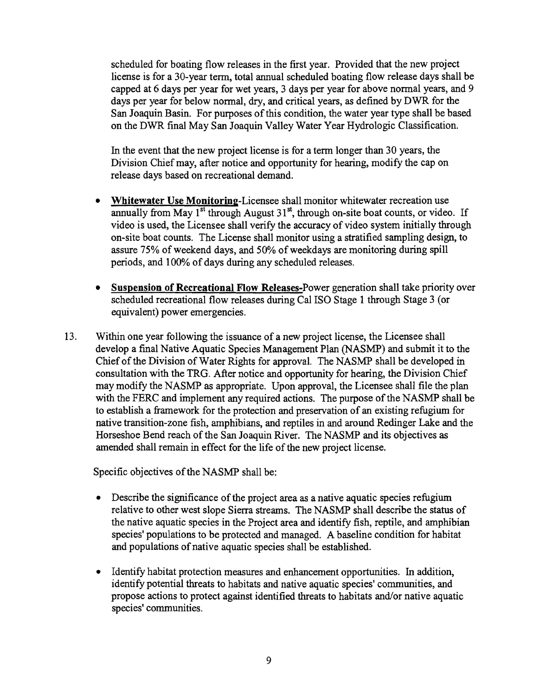scheduled for boating flow releases in the first year. Provided that the new project license is for a 30-year term, total annual scheduled boating flow release days shall be capped at 6 days per year for wet years, 3 days per year for above normal years, and 9 days per year for below normal, dry, and critical years, as defined by DWR for the San Joaquin Basin. For purposes of this condition, the water year type shall be based on the DWR fmal May San Joaquin Valley Water Year Hydrologic Classification.

In the event that the new project license is for a term longer than 30 years, the Division Chief may, after notice and opportunity for hearing, modify the cap on release days based on recreational demand.

- Whitewater Use Monitoring-Licensee shall monitor whitewater recreation use annually from May  $1<sup>st</sup>$  through August  $31<sup>st</sup>$ , through on-site boat counts, or video. If video is used, the Licensee shall verify the accuracy of video system initially through on-site boat counts. The License shall monitor using a stratified sampling design, to assure 75% of weekend days, and 50% of weekdays are monitoring during spill periods, and 100% of days during any scheduled releases.
- Suspension of Recreational Flow Releases-Power generation shall take priority over scheduled recreational flow releases during Cal ISO Stage 1 through Stage 3 (or equivalent) power emergencies.
- 13. Within one year following the issuance of a new project license, the Licensee shall develop a final Native Aquatic Species Management Plan (NASMP) and submit it to the Chief of the Division of Water Rights for approval. The NASMP shall be developed in consultation with the TRG. After notice and opportunity for hearing, the Division Chief may modify the NASMP as appropriate. Upon approval, the Licensee shall file the plan with the FERC and implement any required actions. The purpose of the NASMP shall be to establish a framework for the protection and preservation of an existing refugium for native transition-zone fish, amphibians, and reptiles in and around Redinger Lake and the Horseshoe Bend reach of the San Joaquin River. The NASMP and its objectives as amended shall remain in effect for the life of the new project license.

Specific objectives of the NASMP shall be:

- Describe the significance of the project area as a native aquatic species refugium relative to other west slope Sierra streams. The NASMP shall describe the status of the native aquatic species in the Project area and identify fish, reptile, and amphibian species' populations to be protected and managed. A baseline condition for habitat and populations of native aquatic species shall be established.
- Identify habitat protection measures and enhancement opportunities. In addition, identify potential threats to habitats and native aquatic species' communities, and propose actions to protect against identified threats to habitats and/or native aquatic species' communities.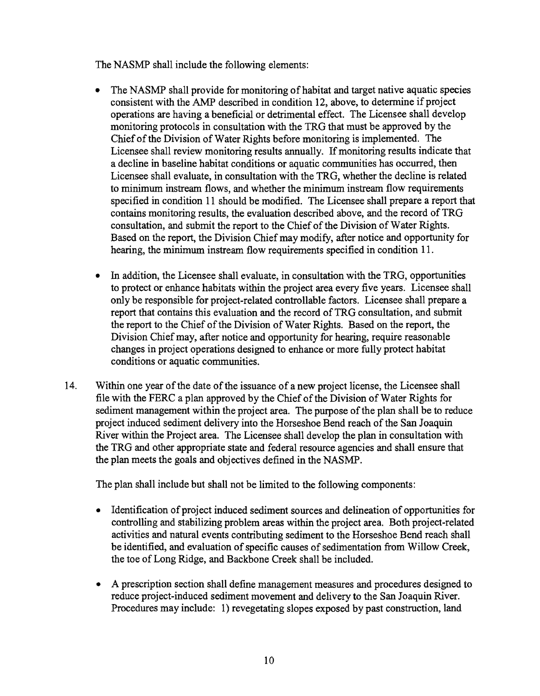The NASMP shall include the following elements:

- The NASMP shall provide for monitoring of habitat and target native aquatic species consistent with the AMP described in condition 12, above, to determine if project operations are having a beneficial or detrimental effect. The Licensee shall develop monitoring protocols in consultation with the TRG that must be approved by the Chief of the Division of Water Rights before monitoring is implemented. The Licensee shall review monitoring results annually. If monitoring results indicate that a decline in baseline habitat conditions or aquatic communities has occurred, then Licensee shall evaluate, in consultation with the TRG, whether the decline is related to minimum instream flows, and whether the minimum instream flow requirements specified in condition 11 should be modified. The Licensee shall prepare a report that contains monitoring results, the evaluation described above, and the record of TRG consultation, and submit the report to the Chief of the Division of Water Rights. Based on the report, the Division Chief may modify, after notice and opportunity for hearing, the minimum instream flow requirements specified in condition 11.
- In addition, the Licensee shall evaluate, in consultation with the TRG, opportunities to protect or enhance habitats within the project area every five years. Licensee shall only be responsible for project-related controllable factors. Licensee shall prepare a report that contains this evaluation and the record ofTRG consultation, and submit the report to the Chief of the Division of Water Rights. Based on the report, the Division Chief may, after notice and opportunity for hearing, require reasonable changes in project operations designed to enhance or more fully protect habitat conditions or aquatic communities.
- 14. Within one year of the date of the issuance of a new project license, the Licensee shall file with the FERC a plan approved by the Chief of the Division of Water Rights for sediment management within the project area. The purpose of the plan shall be to reduce project induced sediment delivery into the Horseshoe Bend reach of the San Joaquin River within the Project area. The Licensee shall develop the plan in consultation with the TRG and other appropriate state and federal resource agencies and shall ensure that the plan meets the goals and objectives defined in the NASMP.

The plan shall include but shall not be limited to the following components:

- Identification of project induced sediment sources and delineation of opportunities for controlling and stabilizing problem areas within the project area. Both project-related activities and natural events contributing sediment to the Horseshoe Bend reach shall be identified, and evaluation of specific causes of sedimentation from Willow Creek, the toe of Long Ridge, and Backbone Creek shall be included.
- A prescription section shall define management measures and procedures designed to reduce project-induced sediment movement and delivery to the San Joaquin River. Procedures may include: 1) revegetating slopes exposed by past construction, land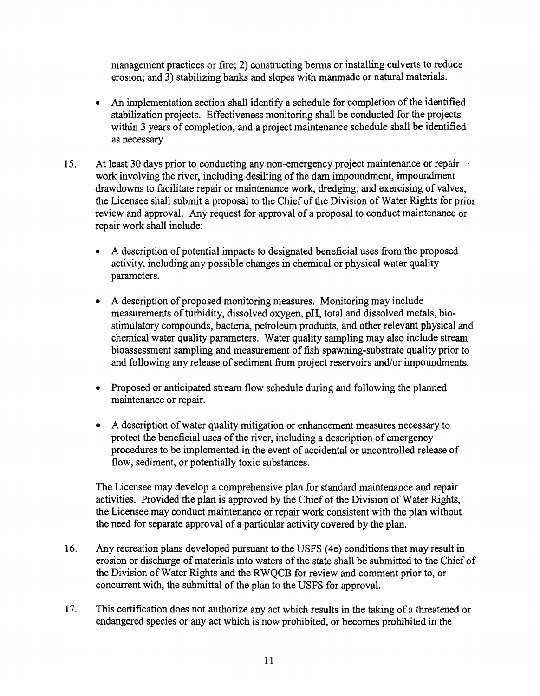management practices or fire; 2) constructing berms or installing culverts to reduce erosion; and 3) stabilizing banks and slopes with manmade or natural materials.

- An implementation section shall identify a schedule for completion of the identified stabilization projects. Effectiveness monitoring shall be conducted for the projects within 3 years of completion, and a project maintenance schedule shall be identified as necessary.
- 15. At least 30 days prior to conducting any non-emergency project maintenance or repair work involving the river, including desilting of the dam impoundment, impoundment drawdowns to facilitate repair or maintenance work, dredging, and exercising of valves, the Licensee shall submit a proposal to the Chief of the Division of Water Rights for prior review and approval. Any request for approval of a proposal to conduct maintenance or repair work shall include:
	- A description of potential impacts to designated beneficial uses from the proposed activity, including any possible changes in chemical or physical water quality parameters.
	- A description of proposed monitoring measures. Monitoring may include measurements of turbidity, dissolved oxygen, pH, total and dissolved metals, biostimulatory compounds, bacteria, petroleum products, and other relevant physical and chemical water quality parameters. Water quality sampling may also include stream bioassessment sampling and measurement of fish spawning-substrate quality prior to and following any release of sediment from project reservoirs and/or impoundments.
	- Proposed or anticipated stream flow schedule during and following the planned maintenance or repair.
	- A description of water quality mitigation or enhancement measures necessary to protect the beneficial uses of the river, including a description of emergency procedures to be implemented in the event of accidental or uncontrolled release of flow, sediment, or potentially toxic substances.

The Licensee may develop a comprehensive plan for standard maintenance and repair activities. Provided the plan is approved by the Chief of the Division of Water Rights, the Licensee may conduct maintenance or repair work consistent with the plan without the need for separate approval of a particular activity covered by the plan.

- 16. Any recreation plans developed pursuant to the USFS (4e) conditions that may result in erosion or discharge of materials into waters of the state shall be submitted to the Chief of the Division of Water Rights and the RWQCB for review and comment prior to, or concurrent with, the submittal of the plan to the USFS for approval.
- 17. This certification does not authorize any act which results in the taking of a threatened or endangered species or any act which is now prohibited, or becomes prohibited in the